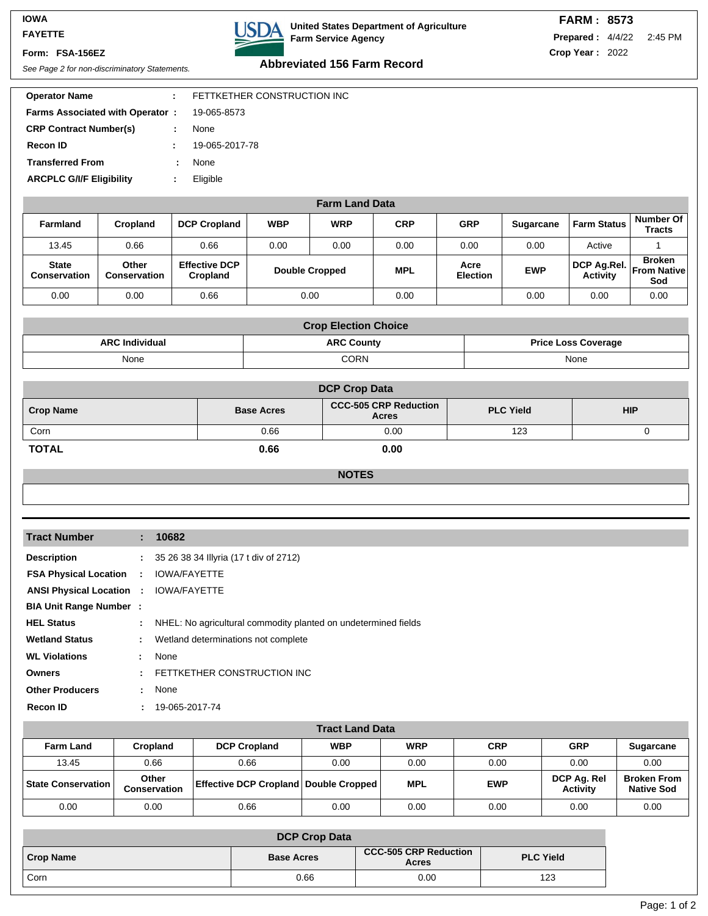#### **IOWA FAYETTE**

### **Form: FSA-156EZ**



## **United States Department of Agriculture Farm Service Agency**

| <b>FARM: 8573</b>               |  |
|---------------------------------|--|
| <b>Prepared: 4/4/22 2:45 PM</b> |  |
| Crop Year: 2022                 |  |

# See Page 2 for non-discriminatory Statements. **Abbreviated 156 Farm Record**

| <b>Operator Name</b>                   |   | FETTKETHER CONSTRUCTION INC |
|----------------------------------------|---|-----------------------------|
| <b>Farms Associated with Operator:</b> |   | 19-065-8573                 |
| <b>CRP Contract Number(s)</b>          | ÷ | None                        |
| Recon ID                               |   | 19-065-2017-78              |
| <b>Transferred From</b>                |   | None                        |
| <b>ARCPLC G/I/F Eligibility</b>        |   | Eligible                    |
|                                        |   |                             |

## **Farm Land Data**

| <b>Farmland</b>              | Cropland                     | <b>DCP Cropland</b>              | <b>WBP</b> | <b>WRP</b>            | <b>CRP</b> | <b>GRP</b>              | <b>Sugarcane</b> | <b>Farm Status</b>                         | Number Of<br><b>Tracts</b> |
|------------------------------|------------------------------|----------------------------------|------------|-----------------------|------------|-------------------------|------------------|--------------------------------------------|----------------------------|
| 13.45                        | 0.66                         | 0.66                             | 0.00       | 0.00                  | 0.00       | 0.00                    | 0.00             | Active                                     |                            |
| <b>State</b><br>Conservation | Other<br><b>Conservation</b> | <b>Effective DCP</b><br>Cropland |            | <b>Double Cropped</b> | <b>MPL</b> | Acre<br><b>Election</b> | <b>EWP</b>       | DCP Ag.Rel. From Native<br><b>Activity</b> | <b>Broken</b><br>Sod       |
| 0.00                         | 0.00                         | 0.66                             |            | 0.00                  | 0.00       |                         | 0.00             | 0.00                                       | 0.00                       |

|                       | <b>Crop Election Choice</b> |                            |
|-----------------------|-----------------------------|----------------------------|
| <b>ARC Individual</b> | <b>ARC County</b>           | <b>Price Loss Coverage</b> |
| None                  | CORN                        | None                       |

|                  |                   | <b>DCP Crop Data</b>                         |                  |            |
|------------------|-------------------|----------------------------------------------|------------------|------------|
| <b>Crop Name</b> | <b>Base Acres</b> | <b>CCC-505 CRP Reduction</b><br><b>Acres</b> | <b>PLC Yield</b> | <b>HIP</b> |
| Corn             | 0.66              | 0.00                                         | 123              |            |
| <b>TOTAL</b>     | 0.66              | 0.00                                         |                  |            |

### **NOTES**

| <b>Tract Number</b>             |                             | : 10682                                                          |
|---------------------------------|-----------------------------|------------------------------------------------------------------|
| <b>Description</b>              |                             | : 35 26 38 34 Illyria (17 t div of 2712)                         |
| <b>FSA Physical Location :</b>  |                             | <b>IOWA/FAYETTE</b>                                              |
| <b>ANSI Physical Location :</b> |                             | <b>IOWA/FAYETTE</b>                                              |
| <b>BIA Unit Range Number :</b>  |                             |                                                                  |
| <b>HEL Status</b>               |                             | : NHEL: No agricultural commodity planted on undetermined fields |
| <b>Wetland Status</b>           | $\mathbb{R}^n$              | Wetland determinations not complete                              |
| <b>WL Violations</b>            | t.                          | None                                                             |
| <b>Owners</b>                   | ÷.                          | FETTKETHER CONSTRUCTION INC                                      |
| <b>Other Producers</b>          |                             | : None                                                           |
| <b>Recon ID</b>                 | $\mathcal{L}^{\mathcal{L}}$ | 19-065-2017-74                                                   |

|                             |                       |                                              | <b>Tract Land Data</b> |            |            |                                |                                         |
|-----------------------------|-----------------------|----------------------------------------------|------------------------|------------|------------|--------------------------------|-----------------------------------------|
| <b>Farm Land</b>            | Cropland              | <b>DCP Cropland</b>                          | <b>WBP</b>             | <b>WRP</b> | <b>CRP</b> | <b>GRP</b>                     | <b>Sugarcane</b>                        |
| 13.45                       | 0.66                  | 0.66                                         | 0.00                   | 0.00       | 0.00       | 0.00                           | 0.00                                    |
| <b>State Conservation  </b> | Other<br>Conservation | <b>Effective DCP Cropland Double Cropped</b> |                        | <b>MPL</b> | <b>EWP</b> | DCP Ag. Rel<br><b>Activity</b> | <b>Broken From</b><br><b>Native Sod</b> |
| 0.00                        | 0.00                  | 0.66                                         | 0.00                   | 0.00       | 0.00       | 0.00                           | 0.00                                    |

| <b>DCP Crop Data</b> |                   |                                              |                  |  |
|----------------------|-------------------|----------------------------------------------|------------------|--|
| Crop Name            | <b>Base Acres</b> | <b>CCC-505 CRP Reduction</b><br><b>Acres</b> | <b>PLC Yield</b> |  |
| <sup>I</sup> Corn    | 0.66              | 0.00                                         | 123              |  |